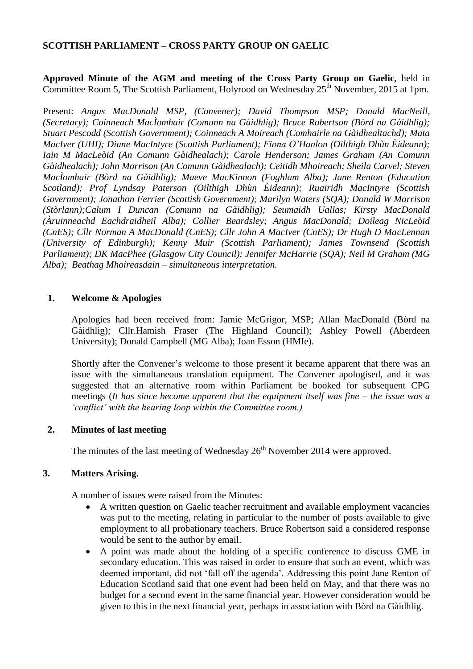#### **SCOTTISH PARLIAMENT – CROSS PARTY GROUP ON GAELIC**

**Approved Minute of the AGM and meeting of the Cross Party Group on Gaelic,** held in Committee Room 5, The Scottish Parliament, Holyrood on Wednesday  $25<sup>th</sup>$  November, 2015 at 1pm.

Present: *Angus MacDonald MSP, (Convener); David Thompson MSP; Donald MacNeill, (Secretary); Coinneach MacÌomhair (Comunn na Gàidhlig); Bruce Robertson (Bòrd na Gàidhlig); Stuart Pescodd (Scottish Government); Coinneach A Moireach (Comhairle na Gàidhealtachd); Mata MacIver (UHI); Diane MacIntyre (Scottish Parliament); Fiona O'Hanlon (Oilthigh Dhùn Èideann); Iain M MacLeòid (An Comunn Gàidhealach); Carole Henderson; James Graham (An Comunn Gàidhealach); John Morrison (An Comunn Gàidhealach); Ceitidh Mhoireach; Sheila Carvel; Steven MacÌomhair (Bòrd na Gàidhlig); Maeve MacKinnon (Foghlam Alba); Jane Renton (Education Scotland); Prof Lyndsay Paterson (Oilthigh Dhùn Èideann); Ruairidh MacIntyre (Scottish Government); Jonathon Ferrier (Scottish Government); Marilyn Waters (SQA); Donald W Morrison (Stòrlann);Calum I Duncan (Comunn na Gàidhlig); Seumaidh Uallas; Kirsty MacDonald (Àruinneachd Eachdraidheil Alba); Collier Beardsley; Angus MacDonald; Doileag NicLeòid (CnES); Cllr Norman A MacDonald (CnES); Cllr John A MacIver (CnES); Dr Hugh D MacLennan (University of Edinburgh); Kenny Muir (Scottish Parliament); James Townsend (Scottish Parliament); DK MacPhee (Glasgow City Council); Jennifer McHarrie (SQA); Neil M Graham (MG Alba); Beathag Mhoireasdain – simultaneous interpretation.*

#### **1. Welcome & Apologies**

Apologies had been received from: Jamie McGrigor, MSP; Allan MacDonald (Bòrd na Gàidhlig); Cllr.Hamish Fraser (The Highland Council); Ashley Powell (Aberdeen University); Donald Campbell (MG Alba); Joan Esson (HMIe).

Shortly after the Convener's welcome to those present it became apparent that there was an issue with the simultaneous translation equipment. The Convener apologised, and it was suggested that an alternative room within Parliament be booked for subsequent CPG meetings (*It has since become apparent that the equipment itself was fine – the issue was a 'conflict' with the hearing loop within the Committee room.)* 

#### **2. Minutes of last meeting**

The minutes of the last meeting of Wednesday  $26<sup>th</sup>$  November 2014 were approved.

#### **3. Matters Arising.**

A number of issues were raised from the Minutes:

- A written question on Gaelic teacher recruitment and available employment vacancies was put to the meeting, relating in particular to the number of posts available to give employment to all probationary teachers. Bruce Robertson said a considered response would be sent to the author by email.
- A point was made about the holding of a specific conference to discuss GME in secondary education. This was raised in order to ensure that such an event, which was deemed important, did not 'fall off the agenda'. Addressing this point Jane Renton of Education Scotland said that one event had been held on May, and that there was no budget for a second event in the same financial year. However consideration would be given to this in the next financial year, perhaps in association with Bòrd na Gàidhlig.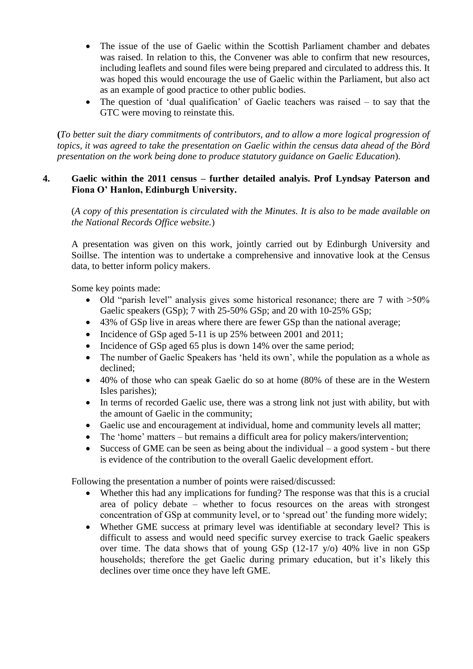- The issue of the use of Gaelic within the Scottish Parliament chamber and debates was raised. In relation to this, the Convener was able to confirm that new resources, including leaflets and sound files were being prepared and circulated to address this. It was hoped this would encourage the use of Gaelic within the Parliament, but also act as an example of good practice to other public bodies.
- The question of 'dual qualification' of Gaelic teachers was raised to say that the GTC were moving to reinstate this.

**(***To better suit the diary commitments of contributors, and to allow a more logical progression of topics, it was agreed to take the presentation on Gaelic within the census data ahead of the Bòrd presentation on the work being done to produce statutory guidance on Gaelic Education*).

# **4. Gaelic within the 2011 census – further detailed analyis. Prof Lyndsay Paterson and Fiona O' Hanlon, Edinburgh University.**

(*A copy of this presentation is circulated with the Minutes. It is also to be made available on the National Records Office website.*)

A presentation was given on this work, jointly carried out by Edinburgh University and Soillse. The intention was to undertake a comprehensive and innovative look at the Census data, to better inform policy makers.

Some key points made:

- $\bullet$  Old "parish level" analysis gives some historical resonance; there are 7 with  $>50\%$ Gaelic speakers (GSp); 7 with 25-50% GSp; and 20 with 10-25% GSp;
- 43% of GSp live in areas where there are fewer GSp than the national average;
- Incidence of GSp aged 5-11 is up 25% between 2001 and 2011;
- Incidence of GSp aged 65 plus is down 14% over the same period;
- The number of Gaelic Speakers has 'held its own', while the population as a whole as declined;
- 40% of those who can speak Gaelic do so at home (80% of these are in the Western Isles parishes);
- In terms of recorded Gaelic use, there was a strong link not just with ability, but with the amount of Gaelic in the community;
- Gaelic use and encouragement at individual, home and community levels all matter;
- The 'home' matters but remains a difficult area for policy makers/intervention;
- Success of GME can be seen as being about the individual  $-$  a good system  $-$  but there is evidence of the contribution to the overall Gaelic development effort.

Following the presentation a number of points were raised/discussed:

- Whether this had any implications for funding? The response was that this is a crucial area of policy debate – whether to focus resources on the areas with strongest concentration of GSp at community level, or to 'spread out' the funding more widely;
- Whether GME success at primary level was identifiable at secondary level? This is difficult to assess and would need specific survey exercise to track Gaelic speakers over time. The data shows that of young GSp (12-17 y/o) 40% live in non GSp households; therefore the get Gaelic during primary education, but it's likely this declines over time once they have left GME.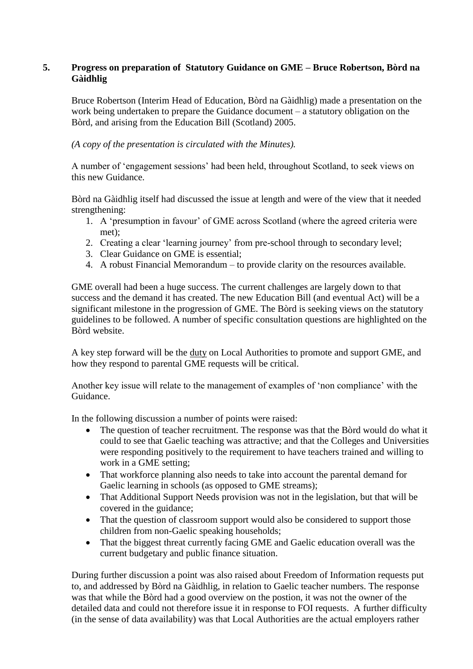### **5. Progress on preparation of Statutory Guidance on GME – Bruce Robertson, Bòrd na Gàidhlig**

Bruce Robertson (Interim Head of Education, Bòrd na Gàidhlig) made a presentation on the work being undertaken to prepare the Guidance document – a statutory obligation on the Bòrd, and arising from the Education Bill (Scotland) 2005.

*(A copy of the presentation is circulated with the Minutes).*

A number of 'engagement sessions' had been held, throughout Scotland, to seek views on this new Guidance.

Bòrd na Gàidhlig itself had discussed the issue at length and were of the view that it needed strengthening:

- 1. A 'presumption in favour' of GME across Scotland (where the agreed criteria were met);
- 2. Creating a clear 'learning journey' from pre-school through to secondary level;
- 3. Clear Guidance on GME is essential;
- 4. A robust Financial Memorandum to provide clarity on the resources available.

GME overall had been a huge success. The current challenges are largely down to that success and the demand it has created. The new Education Bill (and eventual Act) will be a significant milestone in the progression of GME. The Bòrd is seeking views on the statutory guidelines to be followed. A number of specific consultation questions are highlighted on the Bòrd website.

A key step forward will be the duty on Local Authorities to promote and support GME, and how they respond to parental GME requests will be critical.

Another key issue will relate to the management of examples of 'non compliance' with the Guidance.

In the following discussion a number of points were raised:

- The question of teacher recruitment. The response was that the Bòrd would do what it could to see that Gaelic teaching was attractive; and that the Colleges and Universities were responding positively to the requirement to have teachers trained and willing to work in a GME setting;
- That workforce planning also needs to take into account the parental demand for Gaelic learning in schools (as opposed to GME streams);
- That Additional Support Needs provision was not in the legislation, but that will be covered in the guidance;
- That the question of classroom support would also be considered to support those children from non-Gaelic speaking households;
- That the biggest threat currently facing GME and Gaelic education overall was the current budgetary and public finance situation.

During further discussion a point was also raised about Freedom of Information requests put to, and addressed by Bòrd na Gàidhlig, in relation to Gaelic teacher numbers. The response was that while the Bòrd had a good overview on the postion, it was not the owner of the detailed data and could not therefore issue it in response to FOI requests. A further difficulty (in the sense of data availability) was that Local Authorities are the actual employers rather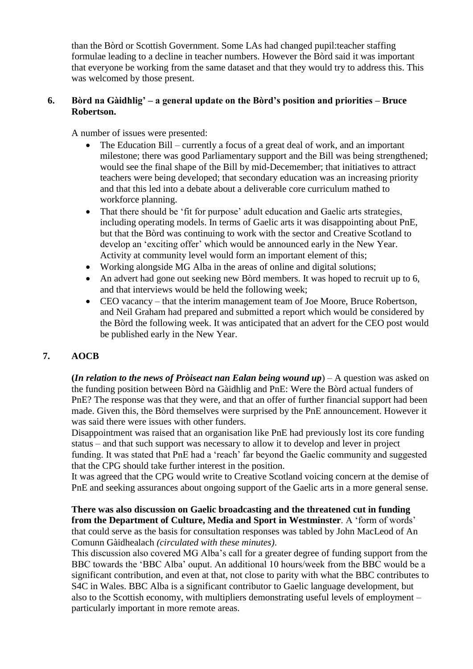than the Bòrd or Scottish Government. Some LAs had changed pupil:teacher staffing formulae leading to a decline in teacher numbers. However the Bòrd said it was important that everyone be working from the same dataset and that they would try to address this. This was welcomed by those present.

### **6. Bòrd na Gàidhlig' – a general update on the Bòrd's position and priorities – Bruce Robertson.**

A number of issues were presented:

- The Education Bill currently a focus of a great deal of work, and an important milestone; there was good Parliamentary support and the Bill was being strengthened; would see the final shape of the Bill by mid-Decemember; that initiatives to attract teachers were being developed; that secondary education was an increasing priority and that this led into a debate about a deliverable core curriculum mathed to workforce planning.
- That there should be 'fit for purpose' adult education and Gaelic arts strategies, including operating models. In terms of Gaelic arts it was disappointing about PnE, but that the Bòrd was continuing to work with the sector and Creative Scotland to develop an 'exciting offer' which would be announced early in the New Year. Activity at community level would form an important element of this;
- Working alongside MG Alba in the areas of online and digital solutions;
- An advert had gone out seeking new Bòrd members. It was hoped to recruit up to 6, and that interviews would be held the following week;
- CEO vacancy that the interim management team of Joe Moore, Bruce Robertson, and Neil Graham had prepared and submitted a report which would be considered by the Bòrd the following week. It was anticipated that an advert for the CEO post would be published early in the New Year.

# **7. AOCB**

**(***In relation to the news of Pròiseact nan Ealan being wound up*) – A question was asked on the funding position between Bòrd na Gàidhlig and PnE: Were the Bòrd actual funders of PnE? The response was that they were, and that an offer of further financial support had been made. Given this, the Bòrd themselves were surprised by the PnE announcement. However it was said there were issues with other funders.

Disappointment was raised that an organisation like PnE had previously lost its core funding status – and that such support was necessary to allow it to develop and lever in project funding. It was stated that PnE had a 'reach' far beyond the Gaelic community and suggested that the CPG should take further interest in the position.

It was agreed that the CPG would write to Creative Scotland voicing concern at the demise of PnE and seeking assurances about ongoing support of the Gaelic arts in a more general sense.

**There was also discussion on Gaelic broadcasting and the threatened cut in funding from the Department of Culture, Media and Sport in Westminster**. A 'form of words' that could serve as the basis for consultation responses was tabled by John MacLeod of An Comunn Gàidhealach *(circulated with these minutes)*.

This discussion also covered MG Alba's call for a greater degree of funding support from the BBC towards the 'BBC Alba' ouput. An additional 10 hours/week from the BBC would be a significant contribution, and even at that, not close to parity with what the BBC contributes to S4C in Wales. BBC Alba is a significant contributor to Gaelic language development, but also to the Scottish economy, with multipliers demonstrating useful levels of employment – particularly important in more remote areas.